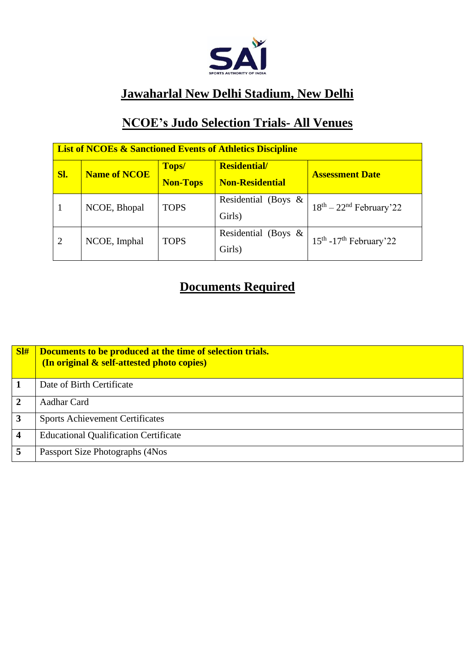

### **Jawaharlal New Delhi Stadium, New Delhi**

## **NCOE's Judo Selection Trials- All Venues**

| <b>List of NCOEs &amp; Sanctioned Events of Athletics Discipline</b> |                     |                          |                                               |                           |  |  |  |
|----------------------------------------------------------------------|---------------------|--------------------------|-----------------------------------------------|---------------------------|--|--|--|
| Sl.                                                                  | <b>Name of NCOE</b> | Tops/<br><b>Non-Tops</b> | <b>Residential/</b><br><b>Non-Residential</b> | <b>Assessment Date</b>    |  |  |  |
|                                                                      | NCOE, Bhopal        | <b>TOPS</b>              | Residential (Boys &<br>Girls)                 | $18th - 22nd$ February'22 |  |  |  |
| $\overline{2}$                                                       | NCOE, Imphal        | <b>TOPS</b>              | Residential (Boys &<br>Girls)                 | $15th - 17th$ February'22 |  |  |  |

# **Documents Required**

| SI#                     | Documents to be produced at the time of selection trials.<br>(In original & self-attested photo copies) |
|-------------------------|---------------------------------------------------------------------------------------------------------|
|                         | Date of Birth Certificate                                                                               |
| $\mathbf{2}$            | Aadhar Card                                                                                             |
| $\mathbf{3}$            | <b>Sports Achievement Certificates</b>                                                                  |
| $\overline{\mathbf{4}}$ | <b>Educational Qualification Certificate</b>                                                            |
|                         | Passport Size Photographs (4Nos                                                                         |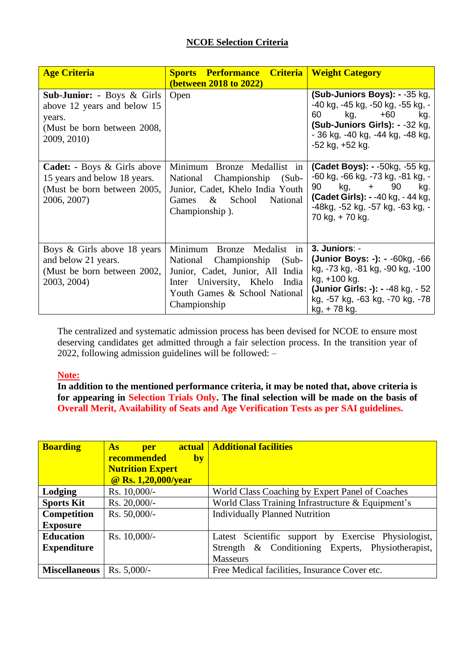| <b>Age Criteria</b>                                                                                                          | <b>Criteria</b><br><b>Sports Performance</b><br>(between 2018 to 2022)                                                                                                                   | <b>Weight Category</b>                                                                                                                                                                                            |
|------------------------------------------------------------------------------------------------------------------------------|------------------------------------------------------------------------------------------------------------------------------------------------------------------------------------------|-------------------------------------------------------------------------------------------------------------------------------------------------------------------------------------------------------------------|
| <b>Sub-Junior: - Boys &amp; Girls</b><br>above 12 years and below 15<br>years.<br>(Must be born between 2008,<br>2009, 2010) | Open                                                                                                                                                                                     | (Sub-Juniors Boys): - -35 kg,<br>-40 kg, -45 kg, -50 kg, -55 kg, -<br>60<br>kg, ka<br>$+60$<br>kg.<br>(Sub-Juniors Girls): - -32 kg,<br>- 36 kg, -40 kg, -44 kg, -48 kg,<br>$-52$ kg, $+52$ kg.                   |
| <b>Cadet:</b> - Boys & Girls above<br>15 years and below 18 years.<br>(Must be born between 2005,<br>2006, 2007)             | Minimum Bronze Medallist in<br>National<br>Championship<br>$(Sub -$<br>Junior, Cadet, Khelo India Youth<br>School<br>$\&$<br>National<br>Games<br>Championship).                         | <b>(Cadet Boys): - -50kg, -55 kg,</b><br>-60 kg, -66 kg, -73 kg, -81 kg, -<br>90<br>kg,<br>90<br>kg.<br>$+$ $-$<br><b>(Cadet Girls): - -40 kg, - 44 kg,</b><br>-48kg, -52 kg, -57 kg, -63 kg, -<br>70 kg, +70 kg. |
| Boys & Girls above 18 years<br>and below 21 years.<br>(Must be born between 2002,<br>2003, 2004)                             | Minimum<br>Bronze Medalist in<br>National Championship<br>$(Sub -$<br>Junior, Cadet, Junior, All India<br>Inter University, Khelo India<br>Youth Games & School National<br>Championship | 3. Juniors: -<br>(Junior Boys: -): - -60kg, -66<br>kg, -73 kg, -81 kg, -90 kg, -100<br>kg, +100 kg.<br>(Junior Girls: -): - -48 kg, - 52<br>kg, -57 kg, -63 kg, -70 kg, -78<br>kg, +78 kg.                        |

The centralized and systematic admission process has been devised for NCOE to ensure most deserving candidates get admitted through a fair selection process. In the transition year of 2022, following admission guidelines will be followed: –

#### **Note:**

**In addition to the mentioned performance criteria, it may be noted that, above criteria is for appearing in Selection Trials Only. The final selection will be made on the basis of Overall Merit, Availability of Seats and Age Verification Tests as per SAI guidelines.**

| <b>Boarding</b>         | As<br>per                | <b>actual</b> Additional facilities                  |  |
|-------------------------|--------------------------|------------------------------------------------------|--|
|                         | <b>recommended</b><br>by |                                                      |  |
|                         | <b>Nutrition Expert</b>  |                                                      |  |
|                         | @ Rs. 1,20,000/year      |                                                      |  |
| Lodging<br>Rs. 10,000/- |                          | World Class Coaching by Expert Panel of Coaches      |  |
| <b>Sports Kit</b>       | Rs. 20,000/-             | World Class Training Infrastructure & Equipment's    |  |
| <b>Competition</b>      | Rs. 50,000/-             | <b>Individually Planned Nutrition</b>                |  |
| <b>Exposure</b>         |                          |                                                      |  |
| <b>Education</b>        | Rs. 10,000/-             | Latest Scientific support by Exercise Physiologist,  |  |
| <b>Expenditure</b>      |                          | & Conditioning Experts, Physiotherapist,<br>Strength |  |
|                         |                          | <b>Masseurs</b>                                      |  |
| <b>Miscellaneous</b>    | Rs. $5,000/-$            | Free Medical facilities, Insurance Cover etc.        |  |